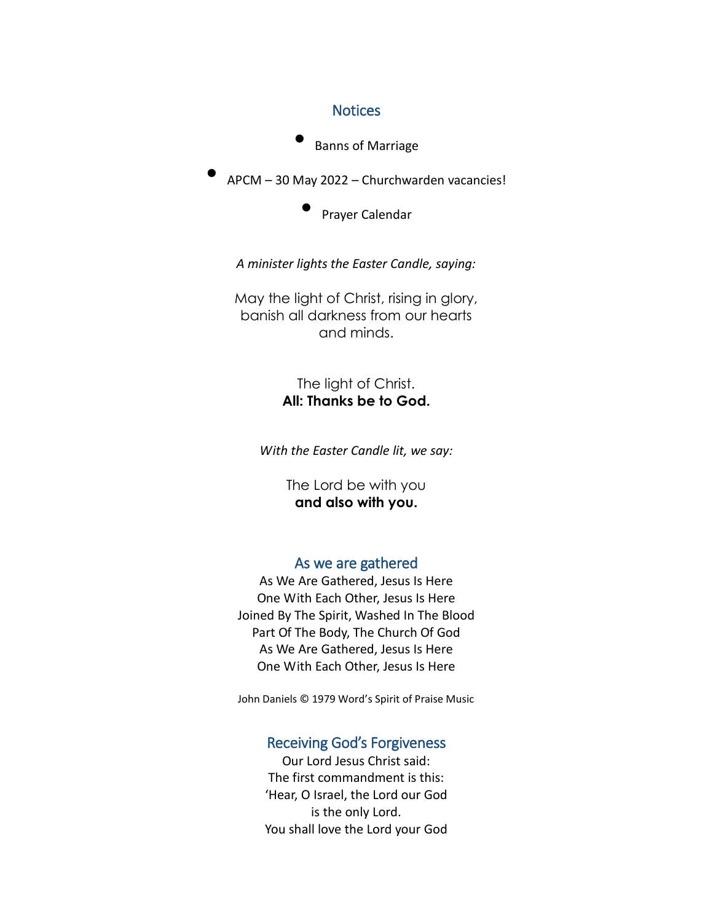### **Notices**

• Banns of Marriage

• APCM – 30 May 2022 – Churchwarden vacancies!

• Prayer Calendar

*A minister lights the Easter Candle, saying:*

May the light of Christ, rising in glory, banish all darkness from our hearts and minds.

> The light of Christ. **All: Thanks be to God.**

*With the Easter Candle lit, we say:*

The Lord be with you **and also with you.**

### As we are gathered

As We Are Gathered, Jesus Is Here One With Each Other, Jesus Is Here Joined By The Spirit, Washed In The Blood Part Of The Body, The Church Of God As We Are Gathered, Jesus Is Here One With Each Other, Jesus Is Here

John Daniels © 1979 Word's Spirit of Praise Music

# Receiving God's Forgiveness

Our Lord Jesus Christ said: The first commandment is this: 'Hear, O Israel, the Lord our God is the only Lord. You shall love the Lord your God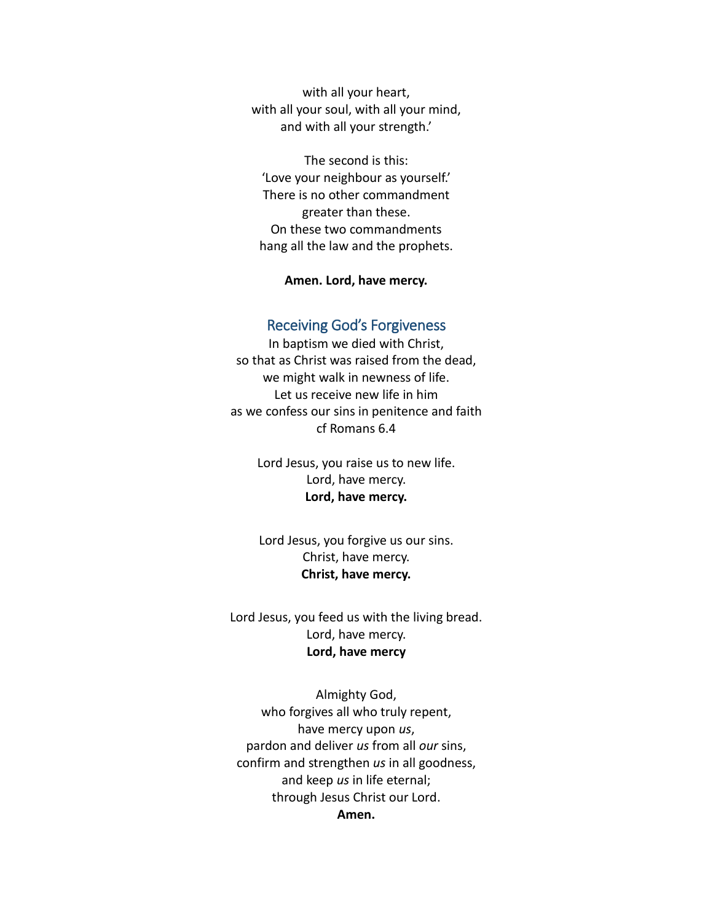with all your heart, with all your soul, with all your mind, and with all your strength.'

The second is this: 'Love your neighbour as yourself.' There is no other commandment greater than these. On these two commandments hang all the law and the prophets.

**Amen. Lord, have mercy.**

# Receiving God's Forgiveness

In baptism we died with Christ, so that as Christ was raised from the dead, we might walk in newness of life. Let us receive new life in him as we confess our sins in penitence and faith cf Romans 6.4

> Lord Jesus, you raise us to new life. Lord, have mercy. **Lord, have mercy.**

> Lord Jesus, you forgive us our sins. Christ, have mercy. **Christ, have mercy.**

Lord Jesus, you feed us with the living bread. Lord, have mercy. **Lord, have mercy**

Almighty God, who forgives all who truly repent, have mercy upon *us*, pardon and deliver *us* from all *our* sins, confirm and strengthen *us* in all goodness, and keep *us* in life eternal; through Jesus Christ our Lord. **Amen.**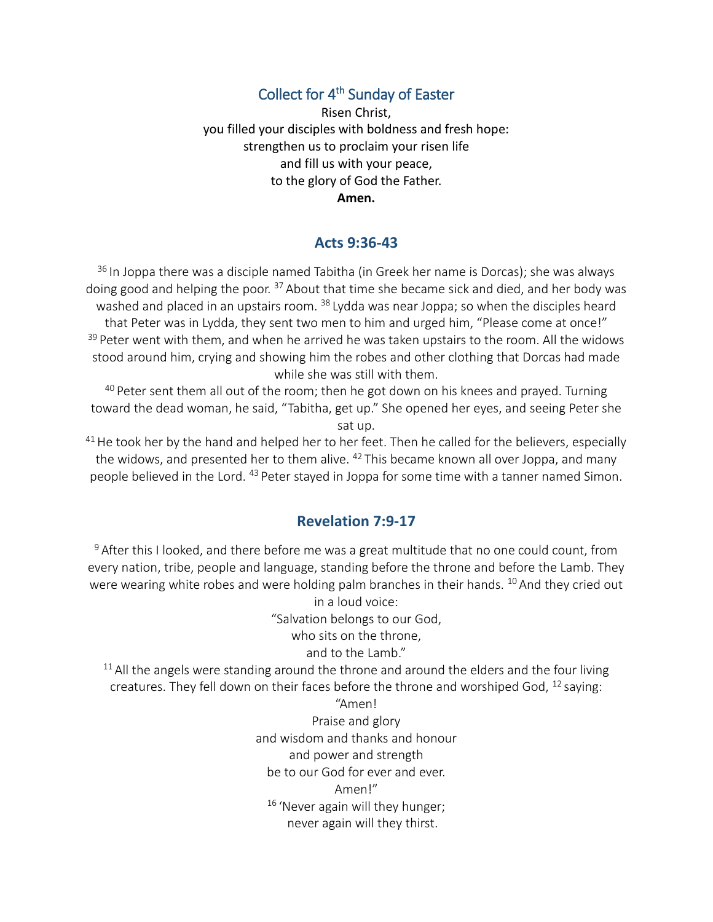# Collect for 4<sup>th</sup> Sunday of Easter

Risen Christ, you filled your disciples with boldness and fresh hope: strengthen us to proclaim your risen life and fill us with your peace, to the glory of God the Father. **Amen.**

## **Acts 9:36-43**

<sup>36</sup> In Joppa there was a disciple named Tabitha (in Greek her name is Dorcas); she was always doing good and helping the poor. <sup>37</sup> About that time she became sick and died, and her body was washed and placed in an upstairs room. <sup>38</sup> Lydda was near Joppa; so when the disciples heard that Peter was in Lydda, they sent two men to him and urged him, "Please come at once!" <sup>39</sup> Peter went with them, and when he arrived he was taken upstairs to the room. All the widows stood around him, crying and showing him the robes and other clothing that Dorcas had made while she was still with them.

 $40$  Peter sent them all out of the room; then he got down on his knees and prayed. Turning toward the dead woman, he said, "Tabitha, get up." She opened her eyes, and seeing Peter she sat up.

 $41$  He took her by the hand and helped her to her feet. Then he called for the believers, especially the widows, and presented her to them alive.  $42$  This became known all over Joppa, and many people believed in the Lord. <sup>43</sup> Peter stayed in Joppa for some time with a tanner named Simon.

### **Revelation 7:9-17**

<sup>9</sup> After this I looked, and there before me was a great multitude that no one could count, from every nation, tribe, people and language, standing before the throne and before the Lamb. They were wearing white robes and were holding palm branches in their hands. <sup>10</sup> And they cried out in a loud voice:

"Salvation belongs to our God,

who sits on the throne,

and to the Lamb."

 $11$  All the angels were standing around the throne and around the elders and the four living creatures. They fell down on their faces before the throne and worshiped God,  $^{12}$  saying:

> "Amen! Praise and glory and wisdom and thanks and honour and power and strength be to our God for ever and ever. Amen!" <sup>16</sup> 'Never again will they hunger; never again will they thirst.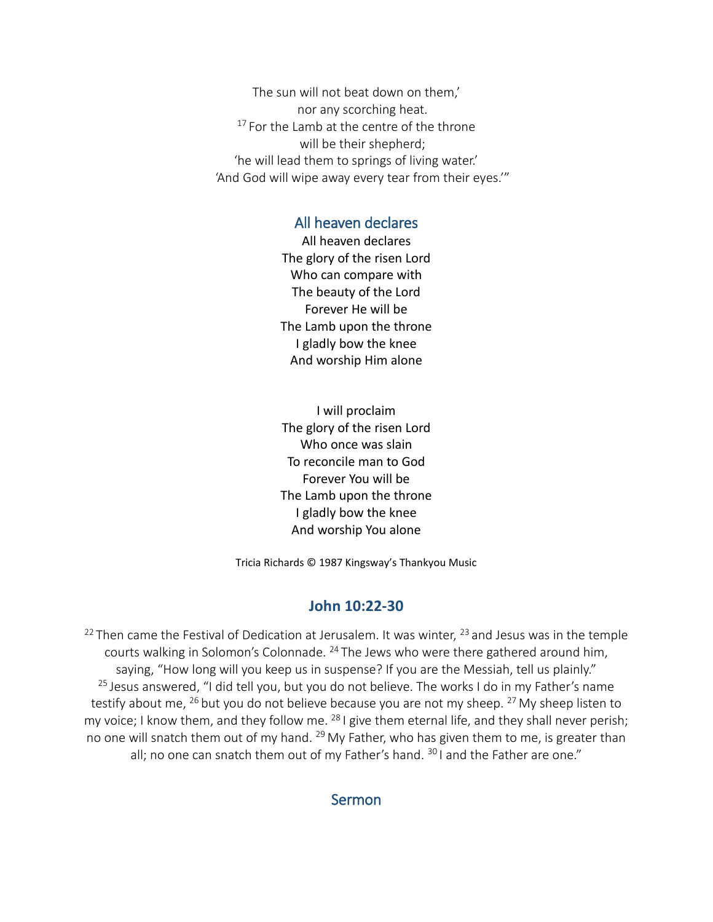The sun will not beat down on them,' nor any scorching heat.  $17$  For the Lamb at the centre of the throne will be their shepherd; 'he will lead them to springs of living water.' 'And God will wipe away every tear from their eyes.'"

### All heaven declares

All heaven declares The glory of the risen Lord Who can compare with The beauty of the Lord Forever He will be The Lamb upon the throne I gladly bow the knee And worship Him alone

I will proclaim The glory of the risen Lord Who once was slain To reconcile man to God Forever You will be The Lamb upon the throne I gladly bow the knee And worship You alone

Tricia Richards © 1987 Kingsway's Thankyou Music

#### **John 10:22-30**

 $22$  Then came the Festival of Dedication at Jerusalem. It was winter,  $23$  and Jesus was in the temple courts walking in Solomon's Colonnade. <sup>24</sup> The Jews who were there gathered around him, saying, "How long will you keep us in suspense? If you are the Messiah, tell us plainly."  $25$  Jesus answered, "I did tell you, but you do not believe. The works I do in my Father's name testify about me,  $^{26}$  but you do not believe because you are not my sheep.  $^{27}$  My sheep listen to my voice; I know them, and they follow me.  $^{28}$  I give them eternal life, and they shall never perish; no one will snatch them out of my hand. <sup>29</sup> My Father, who has given them to me, is greater than all; no one can snatch them out of my Father's hand.  $30$  I and the Father are one."

#### Sermon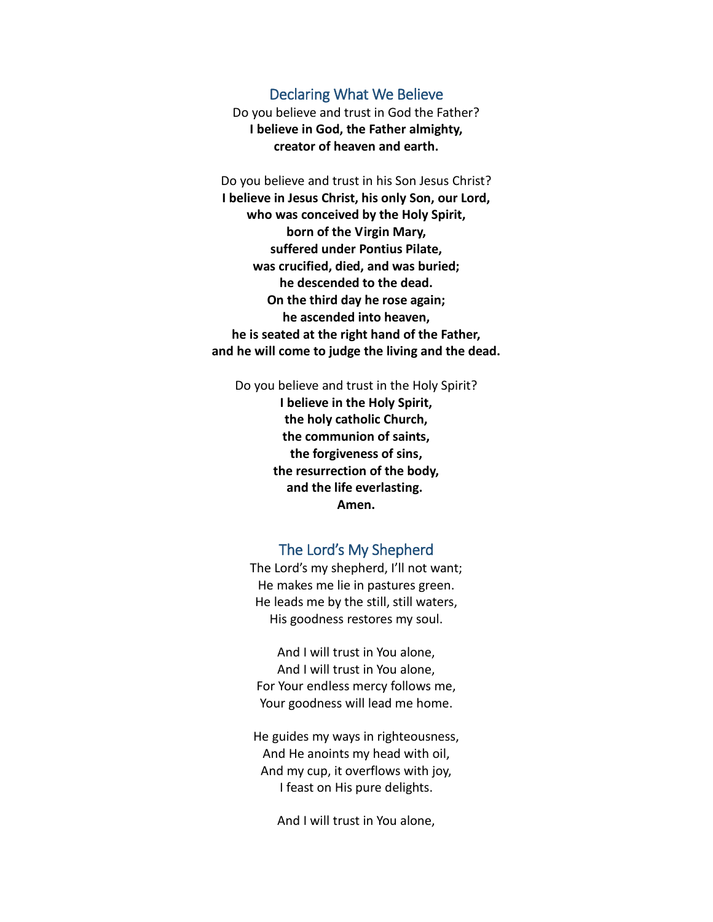#### Declaring What We Believe

Do you believe and trust in God the Father? **I believe in God, the Father almighty, creator of heaven and earth.**

Do you believe and trust in his Son Jesus Christ? **I believe in Jesus Christ, his only Son, our Lord, who was conceived by the Holy Spirit, born of the Virgin Mary, suffered under Pontius Pilate, was crucified, died, and was buried; he descended to the dead. On the third day he rose again; he ascended into heaven, he is seated at the right hand of the Father, and he will come to judge the living and the dead.**

Do you believe and trust in the Holy Spirit? **I believe in the Holy Spirit, the holy catholic Church, the communion of saints, the forgiveness of sins, the resurrection of the body, and the life everlasting. Amen.**

#### The Lord's My Shepherd

The Lord's my shepherd, I'll not want; He makes me lie in pastures green. He leads me by the still, still waters, His goodness restores my soul.

And I will trust in You alone, And I will trust in You alone, For Your endless mercy follows me, Your goodness will lead me home.

He guides my ways in righteousness, And He anoints my head with oil, And my cup, it overflows with joy, I feast on His pure delights.

And I will trust in You alone,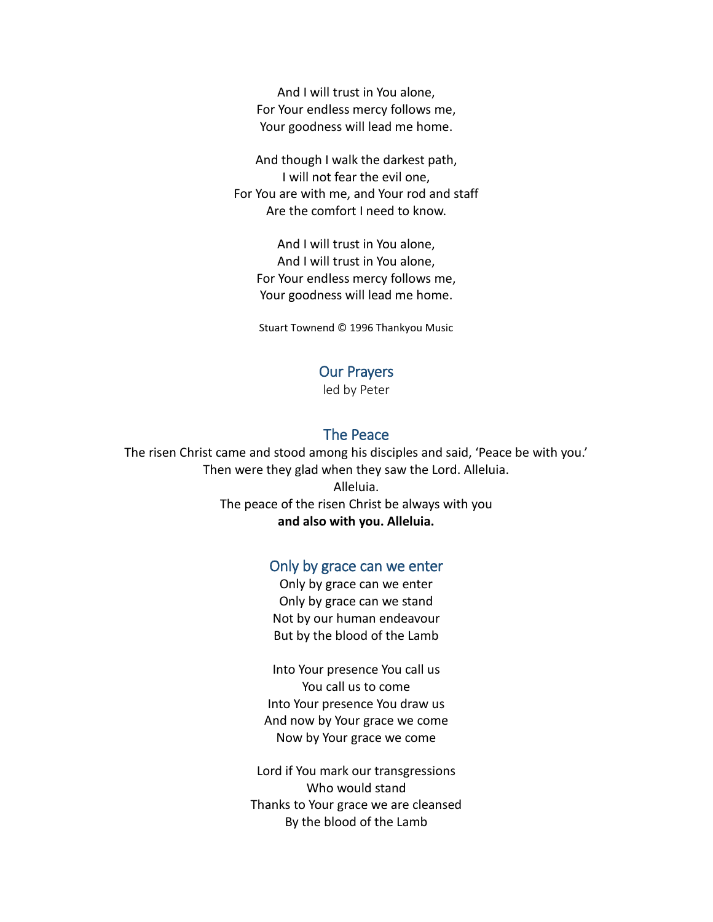And I will trust in You alone, For Your endless mercy follows me, Your goodness will lead me home.

And though I walk the darkest path, I will not fear the evil one, For You are with me, and Your rod and staff Are the comfort I need to know.

And I will trust in You alone, And I will trust in You alone, For Your endless mercy follows me, Your goodness will lead me home.

Stuart Townend © 1996 Thankyou Music

### Our Prayers

led by Peter

#### The Peace

The risen Christ came and stood among his disciples and said, 'Peace be with you.' Then were they glad when they saw the Lord. Alleluia. Alleluia. The peace of the risen Christ be always with you **and also with you. Alleluia.**

#### Only by grace can we enter

Only by grace can we enter Only by grace can we stand Not by our human endeavour But by the blood of the Lamb

Into Your presence You call us You call us to come Into Your presence You draw us And now by Your grace we come Now by Your grace we come

Lord if You mark our transgressions Who would stand Thanks to Your grace we are cleansed By the blood of the Lamb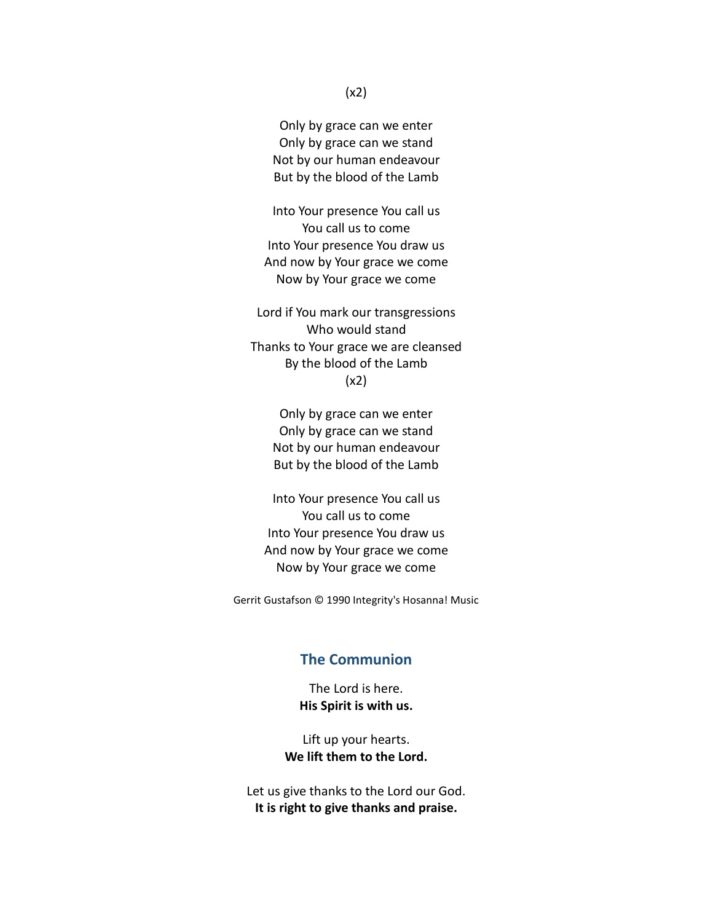Only by grace can we enter Only by grace can we stand Not by our human endeavour But by the blood of the Lamb

Into Your presence You call us You call us to come Into Your presence You draw us And now by Your grace we come Now by Your grace we come

Lord if You mark our transgressions Who would stand Thanks to Your grace we are cleansed By the blood of the Lamb (x2)

> Only by grace can we enter Only by grace can we stand Not by our human endeavour But by the blood of the Lamb

Into Your presence You call us You call us to come Into Your presence You draw us And now by Your grace we come Now by Your grace we come

Gerrit Gustafson © 1990 Integrity's Hosanna! Music

#### **The Communion**

The Lord is here. **His Spirit is with us.**

Lift up your hearts. **We lift them to the Lord.**

Let us give thanks to the Lord our God. **It is right to give thanks and praise.**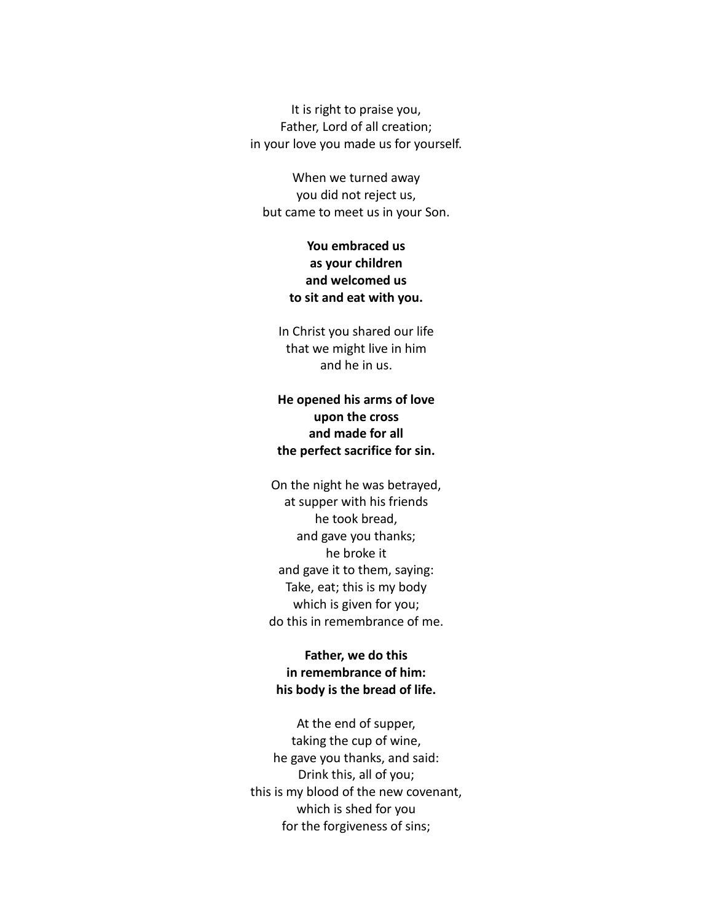It is right to praise you, Father, Lord of all creation; in your love you made us for yourself.

When we turned away you did not reject us, but came to meet us in your Son.

## **You embraced us as your children and welcomed us to sit and eat with you.**

In Christ you shared our life that we might live in him and he in us.

## **He opened his arms of love upon the cross and made for all the perfect sacrifice for sin.**

On the night he was betrayed, at supper with his friends he took bread, and gave you thanks; he broke it and gave it to them, saying: Take, eat; this is my body which is given for you; do this in remembrance of me.

## **Father, we do this in remembrance of him: his body is the bread of life.**

At the end of supper, taking the cup of wine, he gave you thanks, and said: Drink this, all of you; this is my blood of the new covenant, which is shed for you for the forgiveness of sins;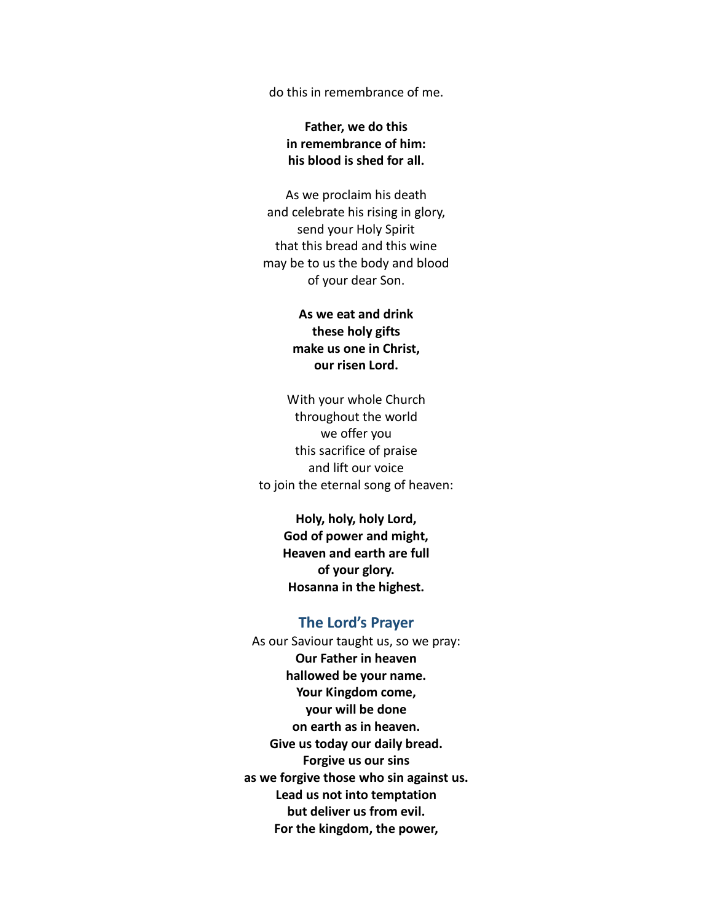do this in remembrance of me.

## **Father, we do this in remembrance of him: his blood is shed for all.**

As we proclaim his death and celebrate his rising in glory, send your Holy Spirit that this bread and this wine may be to us the body and blood of your dear Son.

## **As we eat and drink these holy gifts make us one in Christ, our risen Lord.**

With your whole Church throughout the world we offer you this sacrifice of praise and lift our voice to join the eternal song of heaven:

> **Holy, holy, holy Lord, God of power and might, Heaven and earth are full of your glory. Hosanna in the highest.**

### **The Lord's Prayer**

As our Saviour taught us, so we pray: **Our Father in heaven hallowed be your name. Your Kingdom come, your will be done on earth as in heaven. Give us today our daily bread. Forgive us our sins as we forgive those who sin against us. Lead us not into temptation but deliver us from evil. For the kingdom, the power,**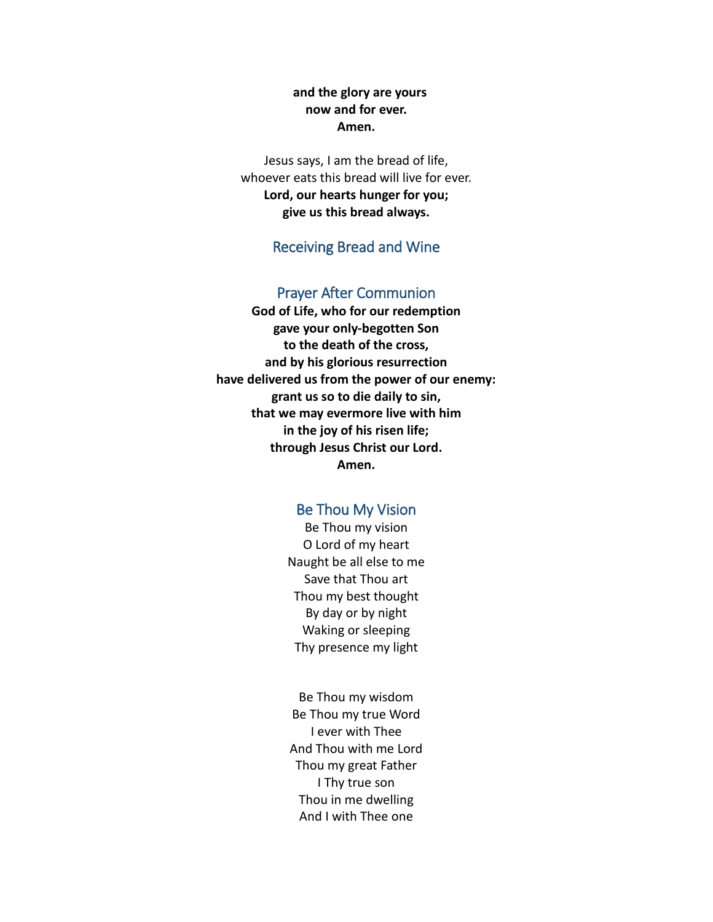### **and the glory are yours now and for ever. Amen.**

Jesus says, I am the bread of life, whoever eats this bread will live for ever. **Lord, our hearts hunger for you; give us this bread always.**

# Receiving Bread and Wine

### Prayer After Communion

**God of Life, who for our redemption gave your only-begotten Son to the death of the cross, and by his glorious resurrection have delivered us from the power of our enemy: grant us so to die daily to sin, that we may evermore live with him in the joy of his risen life; through Jesus Christ our Lord. Amen.**

# Be Thou My Vision

Be Thou my vision O Lord of my heart Naught be all else to me Save that Thou art Thou my best thought By day or by night Waking or sleeping Thy presence my light

Be Thou my wisdom Be Thou my true Word I ever with Thee And Thou with me Lord Thou my great Father I Thy true son Thou in me dwelling And I with Thee one